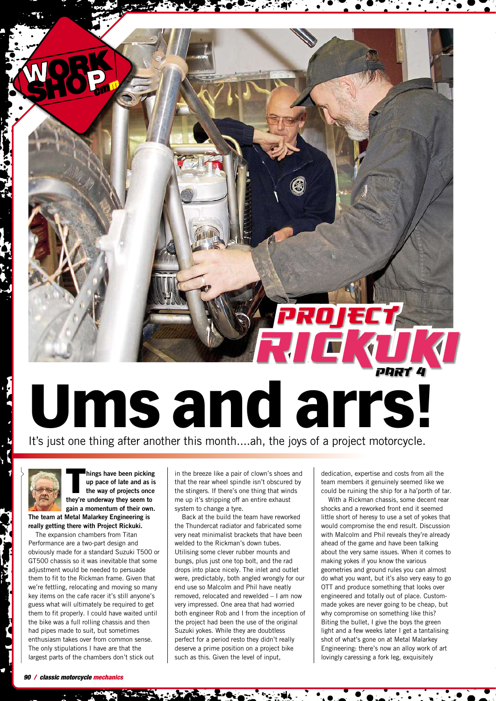## **PROJECT**<br>RICK (D **Ums and arrs!**

It's just one thing after another this month....ah, the joys of a project motorcycle.

**T hings have been picking up pace of late and as is the way of projects once they're underway they seem to gain a momentum of their own.**

**The team at Metal Malarkey Engineering is really getting there with Project Rickuki.**

The expansion chambers from Titan Performance are a two-part design and obviously made for a standard Suzuki T500 or GT500 chassis so it was inevitable that some adjustment would be needed to persuade them to fit to the Rickman frame. Given that we're fettling, relocating and moving so many key items on the cafe racer it's still anyone's guess what will ultimately be required to get them to fit properly. I could have waited until the bike was a full rolling chassis and then had pipes made to suit, but sometimes enthusiasm takes over from common sense. The only stipulations I have are that the largest parts of the chambers don't stick out

in the breeze like a pair of clown's shoes and that the rear wheel spindle isn't obscured by the stingers. If there's one thing that winds me up it's stripping off an entire exhaust system to change a tyre.

Back at the build the team have reworked the Thundercat radiator and fabricated some very neat minimalist brackets that have been welded to the Rickman's down tubes. Utilising some clever rubber mounts and bungs, plus just one top bolt, and the rad drops into place nicely. The inlet and outlet were, predictably, both angled wrongly for our end use so Malcolm and Phil have neatly removed, relocated and rewelded – I am now very impressed. One area that had worried both engineer Rob and I from the inception of the project had been the use of the original Suzuki yokes. While they are doubtless perfect for a period resto they didn't really deserve a prime position on a project bike such as this. Given the level of input,

dedication, expertise and costs from all the team members it genuinely seemed like we could be ruining the ship for a ha'porth of tar.

With a Rickman chassis, some decent rear shocks and a reworked front end it seemed little short of heresy to use a set of yokes that would compromise the end result. Discussion with Malcolm and Phil reveals they're already ahead of the game and have been talking about the very same issues. When it comes to making yokes if you know the various geometries and ground rules you can almost do what you want, but it's also very easy to go OTT and produce something that looks over engineered and totally out of place. Custommade yokes are never going to be cheap, but why compromise on something like this? Biting the bullet, I give the boys the green light and a few weeks later I get a tantalising shot of what's gone on at Metal Malarkey Engineering: there's now an alloy work of art lovingly caressing a fork leg, exquisitely